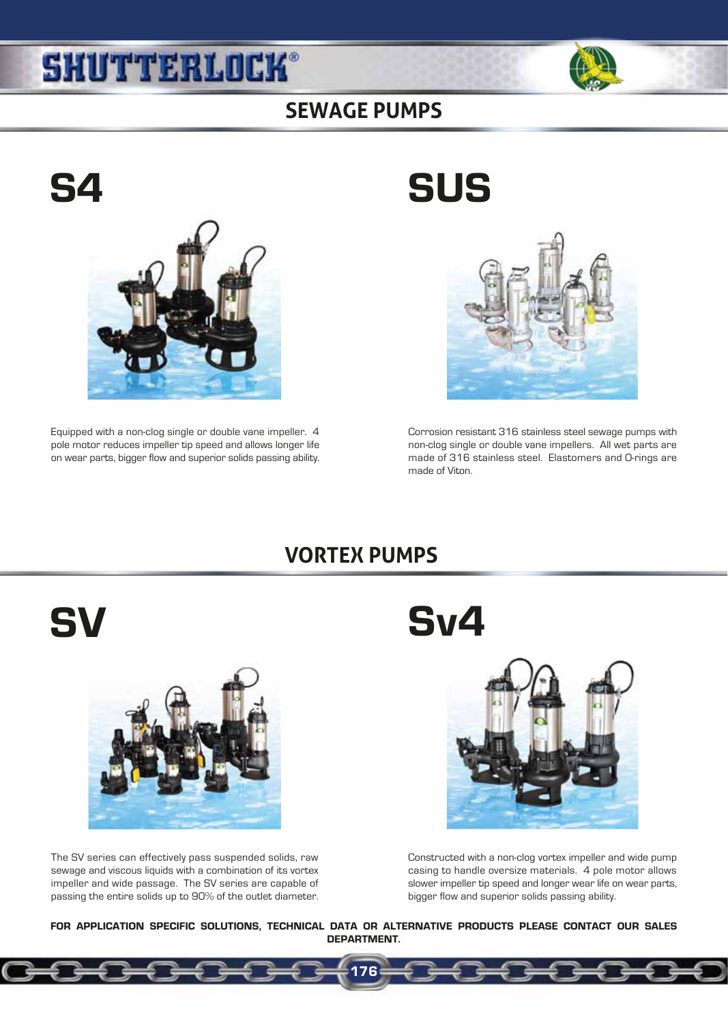## **SHUTTERLOCK®**



### **SEWAGE PUMPS**



Equipped with a non-clog single or double vane impeller. 4 pole motor reduces impeller tip speed and allows longer life on wear parts, bigger flow and superior solids passing ability.

# S4 SUS



Corrosion resistant 316 stainless steel sewage pumps with non-clog single or double vane impellers. All wet parts are made of 316 stainless steel. Elastomers and O-rings are made of Viton.

## **VORTEX PUMPS**



The SV series can effectively pass suspended solids, raw sewage and viscous liquids with a combination of its vortex impeller and wide passage. The SV series are capable of passing the entire solids up to 90% of the outlet diameter.

SV Sv4



Constructed with a non-clog vortex impeller and wide pump casing to handle oversize materials. 4 pole motor allows slower impeller tip speed and longer wear life on wear parts, bigger flow and superior solids passing ability.

FOR APPLICATION SPECIFIC SOLUTIONS, TECHNICAL DATA OR ALTERNATIVE PRODUCTS PLEASE CONTACT OUR SALES DEPARTMENT.

176